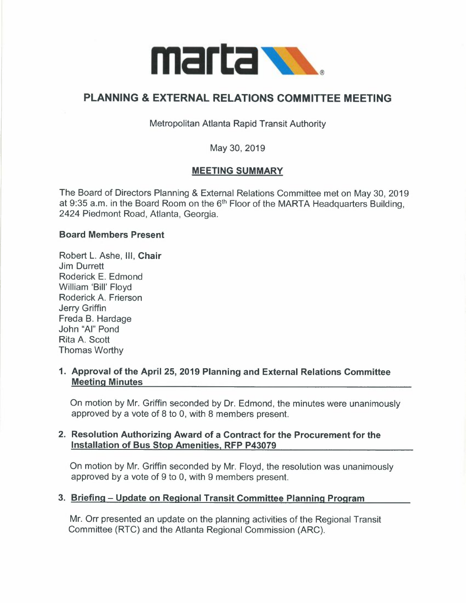

# **PLANNING** & **EXTERNAL RELATIONS COMMITTEE MEETING**

Metropolitan Atlanta Rapid Transit Authority

May 30, 2019

### **MEETING SUMMARY**

The Board of Directors Planning & External Relations Committee met on May 30, 2019 at 9:35 a.m. in the Board Room on the 6<sup>th</sup> Floor of the MARTA Headquarters Building, 2424 Piedmont Road, Atlanta, Georgia.

#### **Board Members Present**

Robert L. Ashe, 111, **Chair**  Jim Durrett Roderick E. Edmond William 'Bill' Floyd Roderick A. Frierson Jerry Griffin Freda B. Hardage John "Al" Pond Rita A. Scott Thomas Worthy

#### **1. Approval of the April 25, 2019 Planning and External Relations Committee Meeting Minutes**

On motion by Mr. Griffin seconded by Dr. Edmond, the minutes were unanimously approved by a vote of 8 to 0, with 8 members present.

### **2. Resolution Authorizing Award of a Contract for the Procurement for the Installation of Bus Stop Amenities, RFP P43079**

On motion by Mr. Griffin seconded by Mr. Floyd, the resolution was unanimously approved by a vote of 9 to 0, with 9 members present.

### **3. Briefing - Update on Regional Transit Committee Planning Program**

Mr. Orr presented an update on the planning activities of the Regional Transit Committee (RTC} and the Atlanta Regional Commission (ARC).